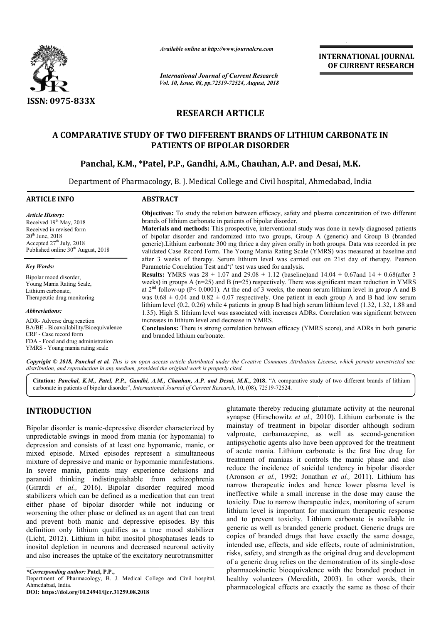

*Available online at http://www.journalcra.com*

*International Journal of Current Research Vol. 10, Issue, 08, pp.72519-72524, August, 2018* **INTERNATIONAL JOURNAL OF CURRENT RESEARCH**

# **RESEARCH ARTICLE**

# **A COMPARATIVE STUDY OF TWO DIFFERENT BRANDS OF LITHIUM CARBONATE IN OF LITHIUM PATIENTS OF BIPOLAR DISORDER**

# Panchal, K.M., \*Patel, P.P., Gandhi, A.M., Chauhan, A.P. and Desai, M.K.

Department of Pharmacology, B. J. Medical College and Civil hospital, Ahmedabad, India

| <b>ARTICLE INFO</b>                                                                                                                                                                      | <b>ABSTRACT</b>                                                                                                                                                                                                                                                                                                                                                                                                                                                                                                                                                                                                                                                                                                                           |  |  |  |
|------------------------------------------------------------------------------------------------------------------------------------------------------------------------------------------|-------------------------------------------------------------------------------------------------------------------------------------------------------------------------------------------------------------------------------------------------------------------------------------------------------------------------------------------------------------------------------------------------------------------------------------------------------------------------------------------------------------------------------------------------------------------------------------------------------------------------------------------------------------------------------------------------------------------------------------------|--|--|--|
| <b>Article History:</b><br>Received $19th$ May, 2018<br>Received in revised form<br>$20th$ June, $2018$<br>Accepted $27th$ July, 2018<br>Published online 30 <sup>th</sup> August, 2018  | <b>Objectives:</b> To study the relation between efficacy, safety and plasma concentration of two different<br>brands of lithium carbonate in patients of bipolar disorder.<br><b>Materials and methods:</b> This prospective, interventional study was done in newly diagnosed patients<br>of bipolar disorder and randomized into two groups, Group A (generic) and Group B (branded<br>generic). Lithium carbonate 300 mg thrice a day given orally in both groups. Data was recorded in pre<br>validated Case Record Form. The Young Mania Rating Scale (YMRS) was measured at baseline and                                                                                                                                           |  |  |  |
| <b>Key Words:</b><br>Bipolar mood disorder,<br>Young Mania Rating Scale,<br>Lithium carbonate,<br>Therapeutic drug monitoring                                                            | after 3 weeks of therapy. Serum lithium level was carried out on 21st day of therapy. Pearson<br>Parametric Correlation Test and 't' test was used for analysis.<br><b>Results:</b> YMRS was $28 \pm 1.07$ and $29.08 \pm 1.12$ (baseline) and $14.04 \pm 0.67$ and $14 \pm 0.68$ (after 3)<br>weeks) in groups A $(n=25)$ and B $(n=25)$ respectively. There was significant mean reduction in YMRS<br>at $2^{nd}$ follow-up (P< 0.0001). At the end of 3 weeks, the mean serum lithium level in group A and B<br>was $0.68 \pm 0.04$ and $0.82 \pm 0.07$ respectively. One patient in each group A and B had low serum<br>lithium level $(0.2, 0.26)$ while 4 patients in group B had high serum lithium level $(1.32, 1.32, 1.88)$ and |  |  |  |
| Abbreviations:<br>ADR-Adverse drug reaction<br>BA/BE - Bioavailability/Bioequivalence<br>CRF - Case record form<br>FDA - Food and drug administration<br>YMRS - Young mania rating scale | 1.35). High S. lithium level was associated with increases ADRs. Correlation was significant between<br>increases in lithium level and decrease in YMRS.<br><b>Conclusions:</b> There is strong correlation between efficacy (YMRS score), and ADRs in both generic<br>and branded lithium carbonate.                                                                                                                                                                                                                                                                                                                                                                                                                                     |  |  |  |

Copyright © 2018, Panchal et al. This is an open access article distributed under the Creative Commons Attribution License, which permits unrestricted use, *distribution, and reproduction in any medium, provided the original work is properly cited.*

Citation: Panchal, K.M., Patel, P.P., Gandhi, A.M., Chauhan, A.P. and Desai, M.K., 2018. "A comparative study of two different brands of lithium carbonate in patients of bipolar disorder", *International Journal of Current Research*, 10, (08), 72519-72524.

# **INTRODUCTION**

Bipolar disorder is manic-depressive disorder characterized by unpredictable swings in mood from mania (or hypomania) to depression and consists of at least one hypomanic, manic, or mixed episode. Mixed episodes represent a simultaneous mixture of depressive and manic or hypomanic manifestations. In severe mania, patients may experience delusions and paranoid thinking indistinguishable from schizop (Girardi *et al.,* 2016). Bipolar disorder required mood stabilizers which can be defined as a medication that can treat either phase of bipolar disorder while not inducing or worsening the other phase or defined as an agent that can treat and prevent both manic and depressive episodes. By this definition only lithium qualifies as a true mood stabilizer (Licht, 2012). Lithium in hibit inositol phosphatases leads to inositol depletion in neurons and decreased neuronal activity and also increases the uptake of the excitatory neurotransmitter depressive disorder characterized by<br>nood from mania (or hypomania) to<br>f at least one hypomanic, manic, or<br>episodes represent a simultaneous<br>manic or hypomanic manifestations.<br>ts may experience delusions and<br>stinguishable

glutamate thereby reducing glutamate activity at the neuronal synapse (Hirschowitz *et al.,* 2010). Lithium carbonate is the mainstay of treatment in bipolar disorder although sodium valproate, carbamazepine, as well as second-generation antipsychotic agents also have been approved for the treatment of acute mania. Lithium carbonate is the first line drug for treatment of maniaas it controls the manic phase and also reduce the incidence of suicidal tendency in bipolar disorder (Aronson *et al.,* 1992; Jonathan *et al.,* 2011). Lithium has narrow therapeutic index and hence lower plasma level is ineffective while a small increase in the dose may cause the toxicity. Due to narrow therapeutic index, monitoring of serum lithium level is important for maximum therapeutic response and to prevent toxicity. Lithium carbonate is available in generic as well as branded generic product. Generic drugs are copies of branded drugs that have exactly the same dosage, intended use, effects, and side effects, route of administration, risks, safety, and strength as the original drug and development of a generic drug relies on the demonstration of its single pharmacokinetic bioequivalence bioequivalence with the branded product in healthy volunteers (Meredith, 2003). In other words, their pharmacological effects are exactly the same as those of their rapeutic index and hence lower plasma level is while a small increase in the dose may cause the et o narrow therapeutic index, monitoring of serum ell is important for maximum therapeutic response vent toxicity. Lithium ca as their 

*<sup>\*</sup>Corresponding author:* **Patel, P.P.,** 

Department of Pharmacology, B. J. Medical College and Civil hospital, Ahmedabad, India.

**DOI: https://doi.org/10.24941/ijcr.31259.08.2018**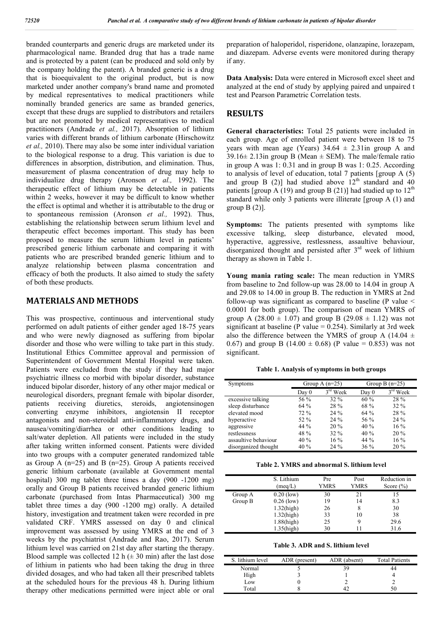branded counterparts and generic drugs are marketed under its pharmacological name. Branded drug that has a trade name and is protected by a patent (can be produced and sold only by the company holding the patent). A branded generic is a drug that is bioequivalent to the original product, but is now marketed under another company's brand name and promoted by medical representatives to medical practitioners while nominally branded generics are same as branded generics, except that these drugs are supplied to distributors and retailers but are not promoted by medical representatives to medical practitioners (Andrade *et al.,* 2017). Absorption of lithium varies with different brands of lithium carbonate (Hirschowitz *et al.,* 2010). There may also be some inter individual variation to the biological response to a drug. This variation is due to differences in absorption, distribution, and elimination. Thus, measurement of plasma concentration of drug may help to individualize drug therapy (Aronson *et al.,* 1992). The therapeutic effect of lithium may be detectable in patients within 2 weeks, however it may be difficult to know whether the effect is optimal and whether it is attributable to the drug or to spontaneous remission (Aronson *et al.,* 1992). Thus, establishing the relationship between serum lithium level and therapeutic effect becomes important. This study has been proposed to measure the serum lithium level in patients' prescribed generic lithium carbonate and comparing it with patients who are prescribed branded generic lithium and to analyze relationship between plasma concentration and efficacy of both the products. It also aimed to study the safety of both these products.

#### **MATERIALS AND METHODS**

This was prospective, continuous and interventional study performed on adult patients of either gender aged 18-75 years and who were newly diagnosed as suffering from bipolar disorder and those who were willing to take part in this study. Institutional Ethics Committee approval and permission of Superintendent of Government Mental Hospital were taken. Patients were excluded from the study if they had major psychiatric illness co morbid with bipolar disorder, substance induced bipolar disorder, history of any other major medical or neurological disorders, pregnant female with bipolar disorder, patients receiving diuretics, steroids, angiotensinogen converting enzyme inhibitors, angiotensin II receptor antagonists and non-steroidal anti-inflammatory drugs, and nausea/vomiting/diarrhea or other conditions leading to salt/water depletion. All patients were included in the study after taking written informed consent. Patients were divided into two groups with a computer generated randomized table as Group A  $(n=25)$  and B  $(n=25)$ . Group A patients received generic lithium carbonate (available at Government mental hospital) 300 mg tablet three times a day (900 -1200 mg) orally and Group B patients received branded generic lithium carbonate (purchased from Intas Pharmaceutical) 300 mg tablet three times a day (900 -1200 mg) orally. A detailed history, investigation and treatment taken were recorded in pre validated CRF. YMRS assessed on day 0 and clinical improvement was assessed by using YMRS at the end of 3 weeks by the psychiatrist (Andrade and Rao, 2017). Serum lithium level was carried on 21st day after starting the therapy. Blood sample was collected 12 h  $(\pm 30 \text{ min})$  after the last dose of lithium in patients who had been taking the drug in three divided dosages, and who had taken all their prescribed tablets at the scheduled hours for the previous 48 h. During lithium therapy other medications permitted were inject able or oral preparation of haloperidol, risperidone, olanzapine, lorazepam, and diazepam. Adverse events were monitored during therapy if any.

**Data Analysis:** Data were entered in Microsoft excel sheet and analyzed at the end of study by applying paired and unpaired t test and Pearson Parametric Correlation tests.

### **RESULTS**

**General characteristics:** Total 25 patients were included in each group. Age of enrolled patient were between 18 to 75 years with mean age (Years)  $34.64 \pm 2.31$  in group A and 39.16 $\pm$  2.13in group B (Mean  $\pm$  SEM). The male/female ratio in group A was 1: 0.31 and in group B was 1: 0.25. According to analysis of level of education, total 7 patients [group  $A(5)$ ] and group B (2)] had studied above  $12<sup>th</sup>$  standard and 40 patients [group A (19) and group B (21)] had studied up to  $12<sup>th</sup>$ standard while only 3 patients were illiterate [group A (1) and group  $B(2)$ ].

**Symptoms:** The patients presented with symptoms like excessive talking, sleep disturbance, elevated mood, hyperactive, aggressive, restlessness, assaultive behaviour, disorganized thought and persisted after  $3<sup>rd</sup>$  week of lithium therapy as shown in Table 1.

**Young mania rating scale:** The mean reduction in YMRS from baseline to 2nd follow-up was 28.00 to 14.04 in group A and 29.08 to 14.00 in group B. The reduction in YMRS at 2nd follow-up was significant as compared to baseline (P value  $\leq$ 0.0001 for both group). The comparison of mean YMRS of group A (28.00  $\pm$  1.07) and group B (29.08  $\pm$  1.12) was not significant at baseline (P value  $= 0.254$ ). Similarly at 3rd week also the difference between the YMRS of group A (14.04  $\pm$ 0.67) and group B (14.00  $\pm$  0.68) (P value = 0.853) was not significant.

**Table 1. Analysis of symptoms in both groups**

| Symptoms             |        | Group A $(n=25)$ | Group B $(n=25)$ |            |  |
|----------------------|--------|------------------|------------------|------------|--|
|                      | Day 0  | $3rd$ Week       | Day 0            | $3rd$ Week |  |
| excessive talking    | 56 %   | $32\%$           | 60%              | 28 %       |  |
| sleep disturbance    | 64%    | 28 %             | 68 %             | $32\%$     |  |
| elevated mood        | $72\%$ | $24\%$           | 64%              | 28 %       |  |
| hyperactive          | $52\%$ | $24\%$           | 56 %             | $24\%$     |  |
| aggressive           | $44\%$ | 20%              | 40%              | $16\%$     |  |
| restlessness         | 48 %   | $32\%$           | 40%              | $20\%$     |  |
| assaultive behaviour | 40%    | $16\%$           | $44\%$           | $16\%$     |  |
| disorganized thought | 40 %   | 24 %             | $36\%$           | 20%        |  |

**Table 2. YMRS and abnormal S. lithium level**

|         | S. Lithium<br>(meq/L) | Pre<br><b>YMRS</b> | Post<br><b>YMRS</b> | Reduction in<br>Score $(\% )$ |
|---------|-----------------------|--------------------|---------------------|-------------------------------|
| Group A | $0.20$ (low)          | 30                 | 21                  | 15                            |
| Group B | $0.26$ (low)          | 19                 | 14                  | 8.3                           |
|         | $1.32$ (high)         | 26                 | 8                   | 30                            |
|         | $1.32$ (high)         | 33                 | 10                  | 38                            |
|         | $1.88$ (high)         | 25                 | 9                   | 29.6                          |
|         | $1.35$ (high)         | 30                 |                     | 31.6                          |

**Table 3. ADR and S. lithium level**

| S. lithium level | ADR (present) | ADR (absent) | <b>Total Patients</b> |
|------------------|---------------|--------------|-----------------------|
| Normal           |               |              |                       |
| High             |               |              |                       |
| Low              |               |              |                       |
| Total            |               |              | 50                    |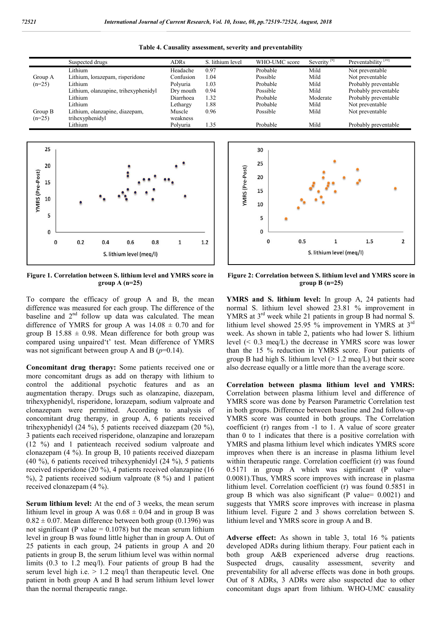|          | Suspected drugs                      | <b>ADRs</b> | S. lithium level | WHO-UMC score | Severity <sup>[9]</sup> | Preventability <sup>[10]</sup> |
|----------|--------------------------------------|-------------|------------------|---------------|-------------------------|--------------------------------|
|          | Lithium                              | Headache    | 0.97             | Probable      | Mild                    | Not preventable                |
| Group A  | Lithium, lorazepam, risperidone      | Confusion   | 1.04             | Possible      | Mild                    | Not preventable                |
| $(n=25)$ | Lithium                              | Polvuria    | 1.03             | Probable      | Mild                    | Probably preventable           |
|          | Lithium, olanzapine, trihexyphenidyl | Dry mouth   | 0.94             | Possible      | Mild                    | Probably preventable           |
|          | Lithium                              | Diarrhoea   | 1.32             | Probable      | Moderate                | Probably preventable           |
|          | Lithium                              | Lethargy    | 1.88             | Probable      | Mild                    | Not preventable                |
| Group B  | Lithium, olanzapine, diazepam,       | Muscle      | 0.96             | Possible      | Mild                    | Not preventable                |
| $(n=25)$ | trihexyphenidyl                      | weakness    |                  |               |                         |                                |
|          | Lithium                              | Polvuria    | 1.35             | Probable      | Mild                    | Probably preventable           |

**Table 4. Causality assessment, severity and preventability**



**Figure 1. Correlation between S. lithium level and YMRS score in group A (n=25)**

To compare the efficacy of group A and B, the mean difference was measured for each group. The difference of the baseline and  $2<sup>nd</sup>$  follow up data was calculated. The mean difference of YMRS for group A was  $14.08 \pm 0.70$  and for group B  $15.88 \pm 0.98$ . Mean difference for both group was compared using unpaired't' test. Mean difference of YMRS was not significant between group A and B (*p*=0.14).

**Concomitant drug therapy:** Some patients received one or more concomitant drugs as add on therapy with lithium to control the additional psychotic features and as an augmentation therapy. Drugs such as olanzapine, diazepam, trihexyphenidyl, risperidone, lorazepam, sodium valproate and clonazepam were permitted. According to analysis of concomitant drug therapy, in group A, 6 patients received trihexyphenidyl (24 %), 5 patients received diazepam (20 %), 3 patients each received risperidone, olanzapine and lorazepam (12 %) and 1 patienteach received sodium valproate and clonazepam (4 %). In group B, 10 patients received diazepam (40 %), 6 patients received trihexyphenidyl (24 %), 5 patients received risperidone (20 %), 4 patients received olanzapine (16  $\%$ ), 2 patients received sodium valproate (8  $\%$ ) and 1 patient received clonazepam (4 %).

**Serum lithium level:** At the end of 3 weeks, the mean serum lithium level in group A was  $0.68 \pm 0.04$  and in group B was  $0.82 \pm 0.07$ . Mean difference between both group (0.1396) was not significant (P value  $= 0.1078$ ) but the mean serum lithium level in group B was found little higher than in group A. Out of 25 patients in each group, 24 patients in group A and 20 patients in group B, the serum lithium level was within normal limits (0.3 to 1.2 meq/l). Four patients of group B had the serum level high i.e.  $> 1.2$  meq/l than therapeutic level. One patient in both group A and B had serum lithium level lower than the normal therapeutic range.



**Figure 2: Correlation between S. lithium level and YMRS score in group B (n=25)**

**YMRS and S. lithium level:** In group A, 24 patients had normal S. lithium level showed 23.81 % improvement in YMRS at  $3<sup>rd</sup>$  week while 21 patients in group B had normal S. lithium level showed 25.95 % improvement in YMRS at 3rd week. As shown in table 2, patients who had lower S. lithium level (< 0.3 meq/L) the decrease in YMRS score was lower than the 15 % reduction in YMRS score. Four patients of group B had high S. lithium level  $(> 1.2 \text{ meg/L})$  but their score also decrease equally or a little more than the average score.

**Correlation between plasma lithium level and YMRS:** Correlation between plasma lithium level and difference of YMRS score was done by Pearson Parametric Correlation test in both groups. Difference between baseline and 2nd follow-up YMRS score was counted in both groups. The Correlation coefficient (r) ranges from -1 to 1. A value of score greater than 0 to 1 indicates that there is a positive correlation with YMRS and plasma lithium level which indicates YMRS score improves when there is an increase in plasma lithium level within therapeutic range. Correlation coefficient (r) was found 0.5171 in group A which was significant (P value= 0.0081).Thus, YMRS score improves with increase in plasma lithium level. Correlation coefficient (r) was found 0.5851 in group B which was also significant (P value= 0.0021) and suggests that YMRS score improves with increase in plasma lithium level. Figure 2 and 3 shows correlation between S. lithium level and YMRS score in group A and B.

**Adverse effect:** As shown in table 3, total 16 % patients developed ADRs during lithium therapy. Four patient each in both group A&B experienced adverse drug reactions. Suspected drugs, causality assessment, severity and preventability for all adverse effects was done in both groups. Out of 8 ADRs, 3 ADRs were also suspected due to other concomitant dugs apart from lithium. WHO-UMC causality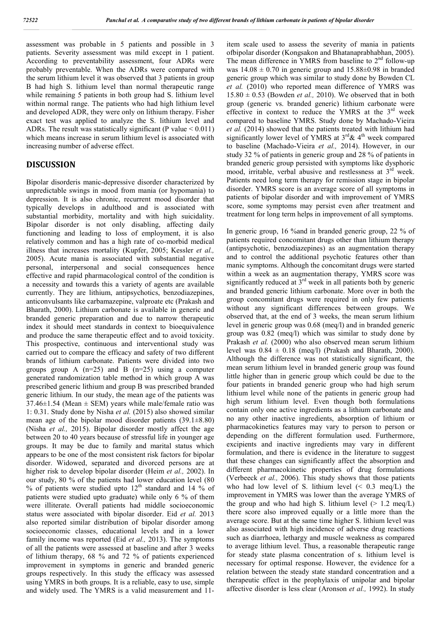assessment was probable in 5 patients and possible in 3 patients. Severity assessment was mild except in 1 patient. According to preventability assessment, four ADRs were probably preventable. When the ADRs were compared with the serum lithium level it was observed that 3 patients in group B had high S. lithium level than normal therapeutic range while remaining 5 patients in both group had S. lithium level within normal range. The patients who had high lithium level and developed ADR, they were only on lithium therapy. Fisher exact test was applied to analyze the S. lithium level and ADRs. The result was statistically significant (P value  $< 0.011$ ) which means increase in serum lithium level is associated with increasing number of adverse effect.

# **DISCUSSION**

Bipolar disorderis manic-depressive disorder characterized by unpredictable swings in mood from mania (or hypomania) to depression. It is also chronic, recurrent mood disorder that typically develops in adulthood and is associated with substantial morbidity, mortality and with high suicidality. Bipolar disorder is not only disabling, affecting daily functioning and leading to loss of employment, it is also relatively common and has a high rate of co-morbid medical illness that increases mortality (Kupfer, 2005; Kessler *et al.,*  2005). Acute mania is associated with substantial negative personal, interpersonal and social consequences hence effective and rapid pharmacological control of the condition is a necessity and towards this a variety of agents are available currently. They are lithium, antipsychotics, benzodiazepines, anticonvulsants like carbamazepine, valproate etc (Prakash and Bharath, 2000). Lithium carbonate is available in generic and branded generic preparation and due to narrow therapeutic index it should meet standards in context to bioequivalence and produce the same therapeutic effect and to avoid toxicity. This prospective, continuous and interventional study was carried out to compare the efficacy and safety of two different brands of lithium carbonate. Patients were divided into two groups group A  $(n=25)$  and B  $(n=25)$  using a computer generated randomization table method in which group A was prescribed generic lithium and group B was prescribed branded generic lithium. In our study, the mean age of the patients was 37.46 $\pm$ 1.54 (Mean  $\pm$  SEM) years while male/female ratio was 1: 0.31. Study done by Nisha *et al.* (2015) also showed similar mean age of the bipolar mood disorder patients  $(39.1\pm8.80)$ (Nisha *et al.,* 2015). Bipolar disorder mostly affect the age between 20 to 40 years because of stressful life in younger age groups. It may be due to family and marital status which appears to be one of the most consistent risk factors for bipolar disorder. Widowed, separated and divorced persons are at higher risk to develop bipolar disorder (Heim *et al.,* 2002). In our study, 80 % of the patients had lower education level (80  $%$  of patients were studied upto  $12<sup>th</sup>$  standard and 14 % of patients were studied upto graduate) while only 6 % of them were illiterate. Overall patients had middle socioeconomic status were associated with bipolar disorder. Eid *et al.* 2013 also reported similar distribution of bipolar disorder among socioeconomic classes, educational levels and in a lower family income was reported (Eid *et al.,* 2013). The symptoms of all the patients were assessed at baseline and after 3 weeks of lithium therapy, 68 % and 72 % of patients experienced improvement in symptoms in generic and branded generic groups respectively. In this study the efficacy was assessed using YMRS in both groups. It is a reliable, easy to use, simple and widely used. The YMRS is a valid measurement and 11item scale used to assess the severity of mania in patients ofbipolar disorder (Kongsakon and Bhatanaprabhabhan, 2005). The mean difference in YMRS from baseline to 2<sup>nd</sup> follow-up was  $14.08 \pm 0.70$  in generic group and  $15.88 \pm 0.98$  in branded generic group which was similar to study done by Bowden CL *et al.* (2010) who reported mean difference of YMRS was  $15.80 \pm 0.53$  (Bowden *et al.*, 2010). We observed that in both group (generic vs. branded generic) lithium carbonate were effective in context to reduce the YMRS at the  $3<sup>rd</sup>$  week compared to baseline YMRS. Study done by Machado-Vieira *et al.* (2014) showed that the patients treated with lithium had significantly lower level of YMRS at  $3<sup>rd</sup> \& 4<sup>th</sup>$  week compared to baseline (Machado-Vieira *et al.,* 2014). However, in our study 32 % of patients in generic group and 28 % of patients in branded generic group persisted with symptoms like dysphoric mood, irritable, verbal abusive and restlessness at 3<sup>rd</sup> week. Patients need long term therapy for remission stage in bipolar disorder. YMRS score is an average score of all symptoms in patients of bipolar disorder and with improvement of YMRS score, some symptoms may persist even after treatment and treatment for long term helps in improvement of all symptoms.

In generic group, 16 %and in branded generic group, 22 % of patients required concomitant drugs other than lithium therapy (antipsychotic, benzodiazepines) as an augmentation therapy and to control the additional psychotic features other than manic symptoms. Although the concomitant drugs were started within a week as an augmentation therapy, YMRS score was significantly reduced at  $3<sup>rd</sup>$  week in all patients both by generic and branded generic lithium carbonate. More over in both the group concomitant drugs were required in only few patients without any significant differences between groups. We observed that, at the end of 3 weeks, the mean serum lithium level in generic group was 0.68 (meq/l) and in branded generic group was 0.82 (meq/l) which was similar to study done by Prakash *et al.* (2000) who also observed mean serum lithium level was  $0.84 \pm 0.18$  (meq/l) (Prakash and Bharath, 2000). Although the difference was not statistically significant, the mean serum lithium level in branded generic group was found little higher than in generic group which could be due to the four patients in branded generic group who had high serum lithium level while none of the patients in generic group had high serum lithium level. Even though both formulations contain only one active ingredients as a lithium carbonate and no any other inactive ingredients, absorption of lithium or pharmacokinetics features may vary to person to person or depending on the different formulation used. Furthermore, excipients and inactive ingredients may vary in different formulation, and there is evidence in the literature to suggest that these changes can significantly affect the absorption and different pharmacokinetic properties of drug formulations (Verbeeck *et al.,* 2006). This study shows that those patients who had low level of S. lithium level  $($   $< 0.3$  meq $/L$ ) the improvement in YMRS was lower than the average YMRS of the group and who had high S. lithium level  $(> 1.2 \text{ meg/L})$ there score also improved equally or a little more than the average score. But at the same time higher S. lithium level was also associated with high incidence of adverse drug reactions such as diarrhoea, lethargy and muscle weakness as compared to average lithium level. Thus, a reasonable therapeutic range for steady state plasma concentration of s. lithium level is necessary for optimal response. However, the evidence for a relation between the steady state standard concentration and a therapeutic effect in the prophylaxis of unipolar and bipolar affective disorder is less clear (Aronson *et al.,* 1992). In study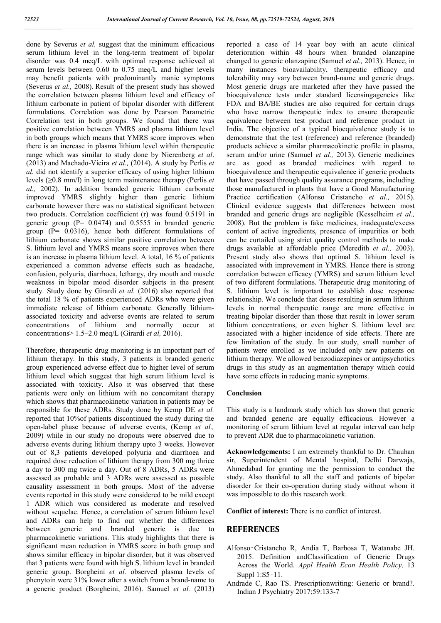done by Severus *et al.* suggest that the minimum efficacious serum lithium level in the long-term treatment of bipolar disorder was 0.4 meq/L with optimal response achieved at serum levels between 0.60 to 0.75 meq/L and higher levels may benefit patients with predominantly manic symptoms (Severus *et al.,* 2008). Result of the present study has showed the correlation between plasma lithium level and efficacy of lithium carbonate in patient of bipolar disorder with different formulations. Correlation was done by Pearson Parametric Correlation test in both groups. We found that there was positive correlation between YMRS and plasma lithium level in both groups which means that YMRS score improves when there is an increase in plasma lithium level within therapeutic range which was similar to study done by Nierenberg *et al*. (2013) and Machado-Vieira *et al.,* (2014). A study by Perlis *et al.* did not identify a superior efficacy of using higher lithium levels (≥0.8 mm/l) in long term maintenance therapy (Perlis *et al.,* 2002). In addition branded generic lithium carbonate improved YMRS slightly higher than generic lithium carbonate however there was no statistical significant between two products. Correlation coefficient (r) was found 0.5191 in generic group  $(P= 0.0474)$  and 0.5555 in branded generic group  $(P= 0.0316)$ , hence both different formulations of lithium carbonate shows similar positive correlation between S. lithium level and YMRS means score improves when there is an increase in plasma lithium level. A total, 16 % of patients experienced a common adverse effects such as headache, confusion, polyuria, diarrhoea, lethargy, dry mouth and muscle weakness in bipolar mood disorder subjects in the present study. Study done by Girardi *et al.* (2016) also reported that the total 18 % of patients experienced ADRs who were given immediate release of lithium carbonate. Generally lithiumassociated toxicity and adverse events are related to serum concentrations of lithium and normally occur at concentrations> 1.5–2.0 meq/L (Girardi *et al,* 2016).

Therefore, therapeutic drug monitoring is an important part of lithium therapy. In this study, 3 patients in branded generic group experienced adverse effect due to higher level of serum lithium level which suggest that high serum lithium level is associated with toxicity. Also it was observed that these patients were only on lithium with no concomitant therapy which shows that pharmacokinetic variation in patients may be responsible for these ADRs. Study done by Kemp DE *et al.*  reported that 10%of patients discontinued the study during the open-label phase because of adverse events, (Kemp *et al.,*  2009) while in our study no dropouts were observed due to adverse events during lithium therapy upto 3 weeks. However out of 8,3 patients developed polyuria and diarrhoea and required dose reduction of lithium therapy from 300 mg thrice a day to 300 mg twice a day. Out of 8 ADRs, 5 ADRs were assessed as probable and 3 ADRs were assessed as possible causality assessment in both groups. Most of the adverse events reported in this study were considered to be mild except 1 ADR which was considered as moderate and resolved without sequelae. Hence, a correlation of serum lithium level and ADRs can help to find out whether the differences between generic and branded generic is due to pharmacokinetic variations. This study highlights that there is significant mean reduction in YMRS score in both group and shows similar efficacy in bipolar disorder, but it was observed that 3 patients were found with high S. lithium level in branded generic group. Borgheini *et al.* observed plasma levels of phenytoin were 31% lower after a switch from a brand-name to a generic product (Borgheini, 2016). Samuel *et al.* (2013) reported a case of 14 year boy with an acute clinical deterioration within 48 hours when branded olanzapine changed to generic olanzapine (Samuel *et al.,* 2013). Hence, in many instances bioavailability, therapeutic efficacy and tolerability may vary between brand-name and generic drugs. Most generic drugs are marketed after they have passed the bioequivalence tests under standard licensingagencies like FDA and BA/BE studies are also required for certain drugs who have narrow therapeutic index to ensure therapeutic equivalence between test product and reference product in India. The objective of a typical bioequivalence study is to demonstrate that the test (reference) and reference (branded) products achieve a similar pharmacokinetic profile in plasma, serum and/or urine (Samuel *et al.,* 2013). Generic medicines are as good as branded medicines with regard to bioequivalence and therapeutic equivalence if generic products that have passed through quality assurance programs, including those manufactured in plants that have a Good Manufacturing Practice certification (Alfonso Cristancho *et al.,* 2015). Clinical evidence suggests that differences between most branded and generic drugs are negligible (Kesselheim *et al.,*  2008). But the problem is fake medicines, inadequate/excess content of active ingredients, presence of impurities or both can be curtailed using strict quality control methods to make drugs available at affordable price (Meredith *et al.,* 2003). Present study also shows that optimal S. lithium level is associated with improvement in YMRS. Hence there is strong correlation between efficacy (YMRS) and serum lithium level of two different formulations. Therapeutic drug monitoring of S. lithium level is important to establish dose response relationship. We conclude that doses resulting in serum lithium levels in normal therapeutic range are more effective in treating bipolar disorder than those that result in lower serum lithium concentrations, or even higher S. lithium level are associated with a higher incidence of side effects. There are few limitation of the study. In our study, small number of patients were enrolled as we included only new patients on lithium therapy. We allowed benzodiazepines or antipsychotics drugs in this study as an augmentation therapy which could have some effects in reducing manic symptoms.

### **Conclusion**

This study is a landmark study which has shown that generic and branded generic are equally efficacious. However a monitoring of serum lithium level at regular interval can help to prevent ADR due to pharmacokinetic variation.

**Acknowledgements:** I am extremely thankful to Dr. Chauhan sir, Superintendent of Mental hospital, Delhi Darwaja, Ahmedabad for granting me the permission to conduct the study. Also thankful to all the staff and patients of bipolar disorder for their co-operation during study without whom it was impossible to do this research work.

**Conflict of interest:** There is no conflict of interest.

### **REFERENCES**

- Alfonso‑Cristancho R, Andia T, Barbosa T, Watanabe JH. 2015. Definition andClassification of Generic Drugs Across the World. *Appl Health Econ Health Policy,* 13 Suppl 1:S5‑11.
- Andrade C, Rao TS. Prescriptionwriting: Generic or brand?. Indian J Psychiatry 2017;59:133-7